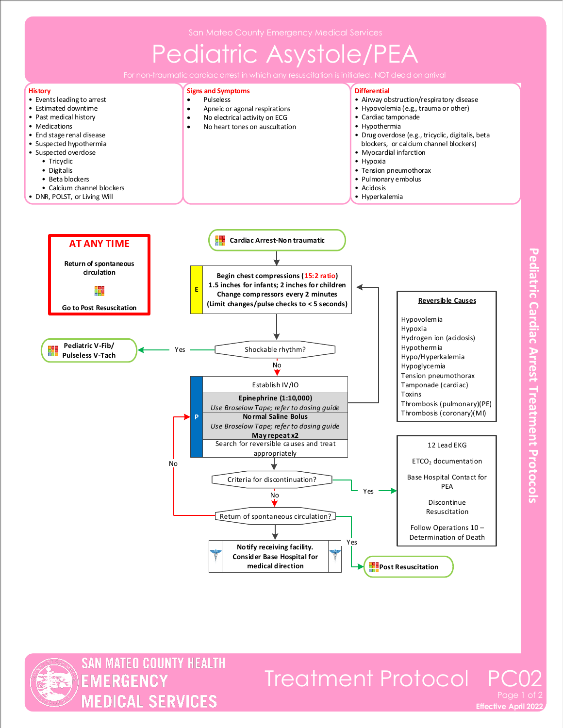# Pediatric Asystole/PEA



**Pediatric Cardiac Arrest Treatment Protocols** 



# Treatment Protocol P

**Effective April 2022**